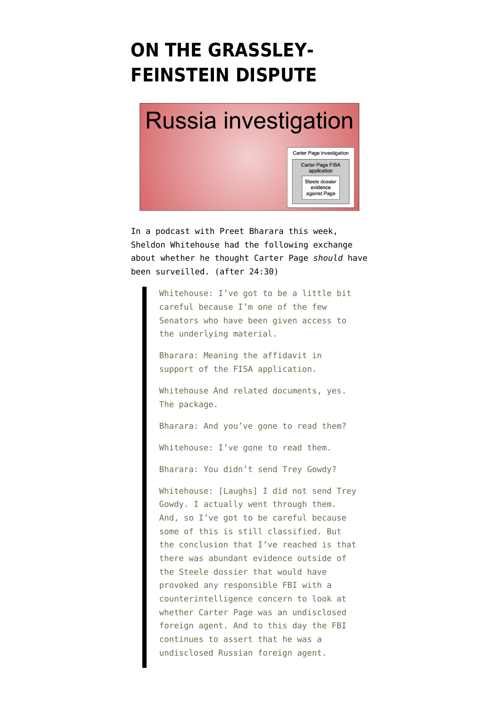## **[ON THE GRASSLEY-](https://www.emptywheel.net/2018/02/11/on-the-grassley-feinstein-dispute/)[FEINSTEIN DISPUTE](https://www.emptywheel.net/2018/02/11/on-the-grassley-feinstein-dispute/)**

# **Russia investigation**



In a [podcast](https://www.wnycstudios.org/story/does-nunes-memo-matter-sheldon-whitehouse/) with Preet Bharara this week, Sheldon Whitehouse had the following exchange about whether he thought Carter Page *should* have been surveilled. (after 24:30)

> Whitehouse: I've got to be a little bit careful because I'm one of the few Senators who have been given access to the underlying material.

Bharara: Meaning the affidavit in support of the FISA application.

Whitehouse And related documents, yes. The package.

Bharara: And you've gone to read them?

Whitehouse: I've gone to read them.

Bharara: You didn't send Trey Gowdy?

Whitehouse: [Laughs] I did not send Trey Gowdy. I actually went through them. And, so I've got to be careful because some of this is still classified. But the conclusion that I've reached is that there was abundant evidence outside of the Steele dossier that would have provoked any responsible FBI with a counterintelligence concern to look at whether Carter Page was an undisclosed foreign agent. And to this day the FBI continues to assert that he was a undisclosed Russian foreign agent.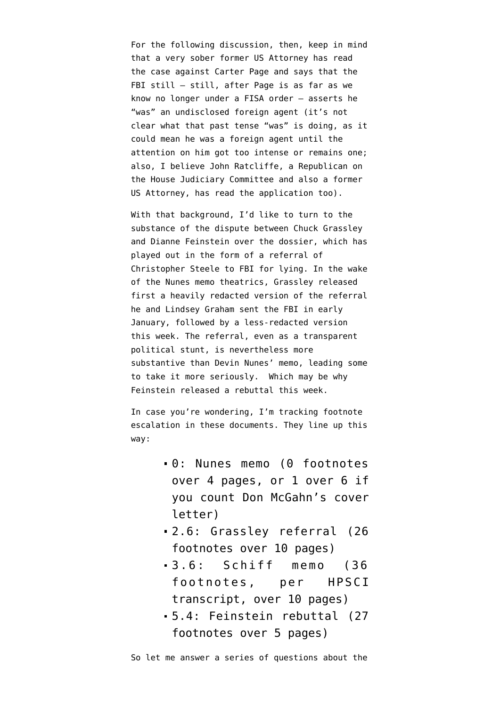For the following discussion, then, keep in mind that a very sober former US Attorney has read the case against Carter Page and says that the FBI still — still, after Page is as far as we know no longer under a FISA order — asserts he "was" an undisclosed foreign agent (it's not clear what that past tense "was" is doing, as it could mean he was a foreign agent until the attention on him got too intense or remains one; also, I believe John Ratcliffe, a Republican on the House Judiciary Committee and also a former US Attorney, has read the application too).

With that background, I'd like to turn to the substance of the dispute between Chuck Grassley and Dianne Feinstein over the dossier, which has played out in the form of a referral of Christopher Steele to FBI for lying. In the wake of the Nunes memo theatrics, Grassley released first a [heavily redacted](https://www.judiciary.senate.gov/imo/media/doc/2018-02-02%20CEG%20LG%20to%20DOJ%20FBI%20(Unclassified%20Steele%20Referral).pdf) version of the referral he and Lindsey Graham sent the FBI in early January, followed by a [less-redacted version](https://www.judiciary.senate.gov/imo/media/doc/2018-02-06%20CEG%20LG%20to%20DOJ%20FBI%20(Unclassified%20Steele%20Referral).pdf) this week. The referral, even as a transparent political stunt, is nevertheless more substantive than Devin Nunes' [memo](https://assets.documentcloud.org/documents/4365343/Rep-Devin-Nunes-s-memo.pdf), leading [some](https://www.politico.com/magazine/story/2018/02/09/the-grassley-letter-everyone-is-ignoring-is-way-more-important-than-the-nunes-memo-216956) to take it more seriously. Which may be why Feinstein released a [rebuttal](https://www.feinstein.senate.gov/public/index.cfm/press-releases?ID=47C7EEC2-485D-4654-96CB-6AC83381913B) this week.

In case you're wondering, I'm tracking footnote escalation in these documents. They line up this way:

- 0: Nunes memo (0 footnotes over 4 pages, or 1 over 6 if you count Don McGahn's cover letter)
- 2.6: Grassley referral (26 footnotes over 10 pages)
- 3.6: Schiff memo (36 footnotes, per HPSCI transcript, over 10 pages)
- 5.4: Feinstein rebuttal (27 footnotes over 5 pages)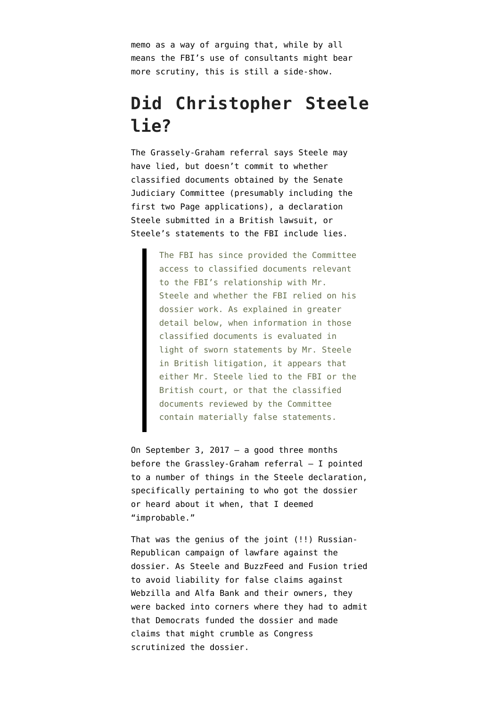memo as a way of arguing that, while by all means the FBI's use of consultants might bear more scrutiny, this is still a side-show.

### **Did Christopher Steele lie?**

The Grassely-Graham referral says Steele may have lied, but doesn't commit to whether classified documents obtained by the Senate Judiciary Committee (presumably including the first two Page applications), a [declaration](https://assets.documentcloud.org/documents/3892131/Trump-Dossier-Suit.pdf) Steele submitted in a British lawsuit, or Steele's statements to the FBI include lies.

> The FBI has since provided the Committee access to classified documents relevant to the FBI's relationship with Mr. Steele and whether the FBI relied on his dossier work. As explained in greater detail below, when information in those classified documents is evaluated in light of sworn statements by Mr. Steele in British litigation, it appears that either Mr. Steele lied to the FBI or the British court, or that the classified documents reviewed by the Committee contain materially false statements.

On September 3, 2017 — a good three months before the Grassley-Graham referral — I [pointed](https://www.emptywheel.net/2017/09/03/on-the-lawfare-surrounding-the-steele-dossier/) [to](https://www.emptywheel.net/2017/09/03/on-the-lawfare-surrounding-the-steele-dossier/) a number of things in the Steele declaration, specifically pertaining to who got the dossier or heard about it when, that I deemed "improbable."

That was the genius of the joint (!!) Russian-Republican campaign of [lawfare](https://www.emptywheel.net/2017/09/03/on-the-lawfare-surrounding-the-steele-dossier/) against the dossier. As Steele and BuzzFeed and Fusion tried to avoid liability for false claims against Webzilla and Alfa Bank and their owners, they were backed into corners where they had to admit that Democrats funded the dossier and made claims that might crumble as Congress scrutinized the dossier.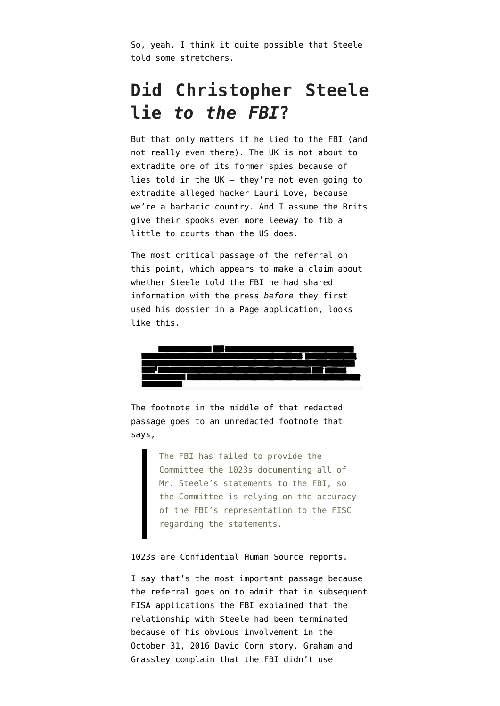So, yeah, I think it quite possible that Steele told some stretchers.

### **Did Christopher Steele lie** *to the FBI***?**

But that only matters if he lied to the FBI (and not really even there). The UK is not about to extradite one of its former spies because of lies told in the UK — they're not even going to extradite alleged hacker Lauri Love, because [we're a barbaric country.](http://www.bbc.com/news/uk-england-42946540) And I assume the Brits give their spooks even more leeway to fib a little to courts than the US does.

The most critical passage of the referral on this point, which appears to make a claim about whether Steele told the FBI he had shared information with the press *before* they first used his dossier in a Page application, looks like this.



The footnote in the middle of that redacted passage goes to an unredacted footnote that says,

> The FBI has failed to provide the Committee the 1023s documenting all of Mr. Steele's statements to the FBI, so the Committee is relying on the accuracy of the FBI's representation to the FISC regarding the statements.

#### 1023s are Confidential Human Source reports.

I say that's the most important passage because the referral goes on to admit that in subsequent FISA applications the FBI explained that the relationship with Steele had been terminated because of his obvious involvement in the [October 31, 2016 David Corn story.](https://www.motherjones.com/politics/2016/10/veteran-spy-gave-fbi-info-alleging-russian-operation-cultivate-donald-trump/) Graham and Grassley complain that the FBI didn't use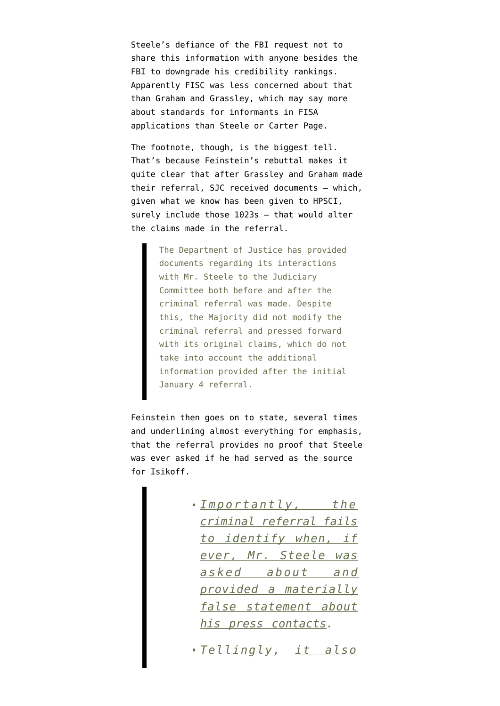Steele's defiance of the FBI request not to share this information with anyone besides the FBI to downgrade his credibility rankings. Apparently FISC was less concerned about that than Graham and Grassley, which may say more about standards for informants in FISA applications than Steele or Carter Page.

The footnote, though, is the biggest tell. That's because Feinstein's rebuttal makes it quite clear that after Grassley and Graham made their referral, SJC received documents — which, given what we know has been given to HPSCI, surely include those 1023s — that would alter the claims made in the referral.

> The Department of Justice has provided documents regarding its interactions with Mr. Steele to the Judiciary Committee both before and after the criminal referral was made. Despite this, the Majority did not modify the criminal referral and pressed forward with its original claims, which do not take into account the additional information provided after the initial January 4 referral.

Feinstein then goes on to state, several times and underlining almost everything for emphasis, that the referral provides no proof that Steele was ever asked if he had served as the source for Isikoff.

> *Importantly, the criminal referral fails to identify when, if ever, Mr. Steele was asked about and provided a materially false statement about his press contacts.*

> *Tellingly, it also*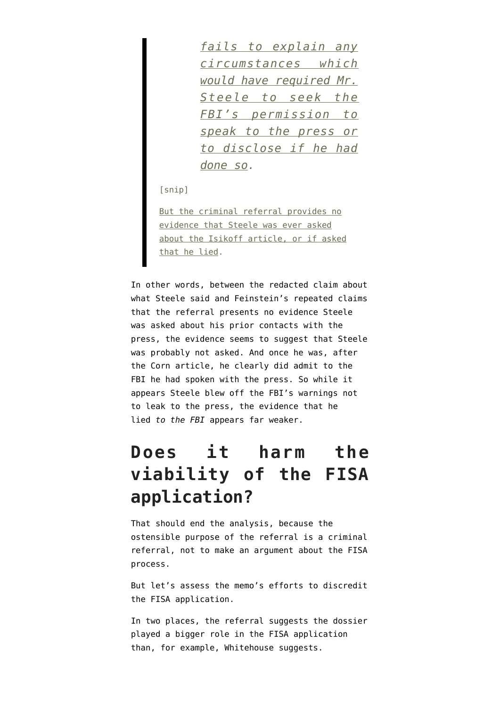*fails to explain any circumstances which would have required Mr. Steele to seek the FBI's permission to speak to the press or to disclose if he had done so.*

[snip]

But the criminal referral provides no evidence that Steele was ever asked about the Isikoff article, or if asked that he lied.

In other words, between the redacted claim about what Steele said and Feinstein's repeated claims that the referral presents no evidence Steele was asked about his prior contacts with the press, the evidence seems to suggest that Steele was probably not asked. And once he was, after the Corn article, he clearly did admit to the FBI he had spoken with the press. So while it appears Steele blew off the FBI's warnings not to leak to the press, the evidence that he lied *to the FBI* appears far weaker.

### **Does it harm the viability of the FISA application?**

That should end the analysis, because the ostensible purpose of the referral is a criminal referral, not to make an argument about the FISA process.

But let's assess the memo's efforts to discredit the FISA application.

In two places, the referral suggests the dossier played a bigger role in the FISA application than, for example, Whitehouse suggests.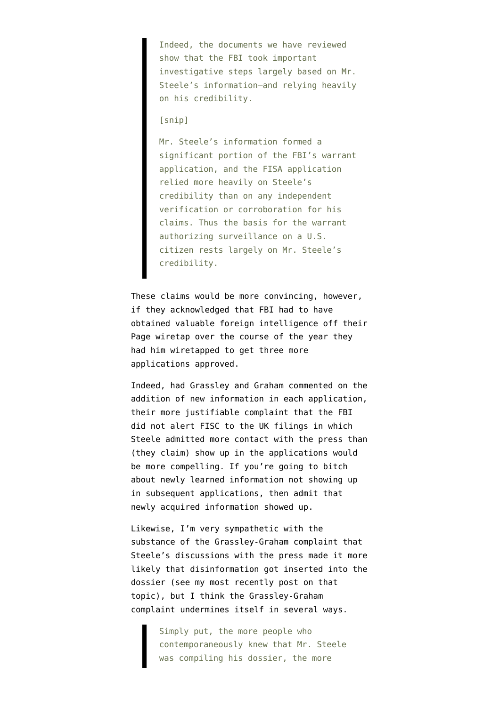Indeed, the documents we have reviewed show that the FBI took important investigative steps largely based on Mr. Steele's information–and relying heavily on his credibility.

[snip]

Mr. Steele's information formed a significant portion of the FBI's warrant application, and the FISA application relied more heavily on Steele's credibility than on any independent verification or corroboration for his claims. Thus the basis for the warrant authorizing surveillance on a U.S. citizen rests largely on Mr. Steele's credibility.

These claims would be more convincing, however, if they acknowledged that FBI had to have obtained valuable foreign intelligence off their Page wiretap over the course of the year they had him wiretapped to get three more applications approved.

Indeed, had Grassley and Graham commented on the addition of new information in each application, their more justifiable complaint that the FBI did not alert FISC to the UK filings in which Steele admitted more contact with the press than (they claim) show up in the applications would be more compelling. If you're going to bitch about newly learned information not showing up in subsequent applications, then admit that newly acquired information showed up.

Likewise, I'm very sympathetic with the substance of the Grassley-Graham complaint that Steele's discussions with the press made it more likely that disinformation got inserted into the dossier ([see my most recently post on that](https://www.emptywheel.net/2018/01/29/on-disinformation-and-the-dossier/) [topic](https://www.emptywheel.net/2018/01/29/on-disinformation-and-the-dossier/)), but I think the Grassley-Graham complaint undermines itself in several ways.

> Simply put, the more people who contemporaneously knew that Mr. Steele was compiling his dossier, the more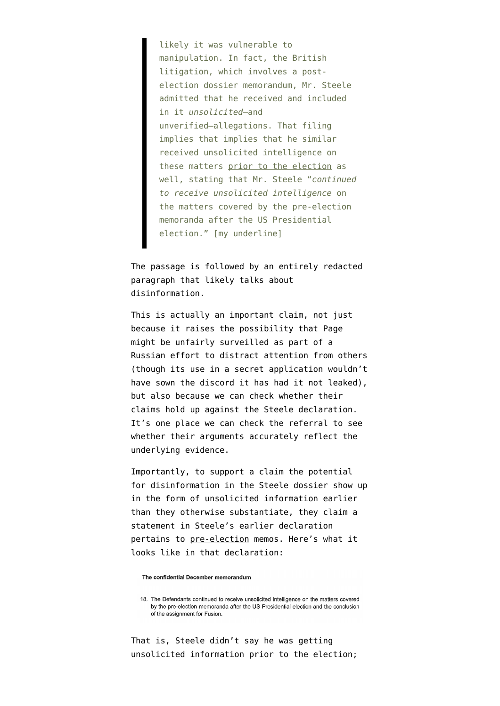likely it was vulnerable to manipulation. In fact, the British litigation, which involves a postelection dossier memorandum, Mr. Steele admitted that he received and included in it *unsolicited*–and unverified–allegations. That filing implies that implies that he similar received unsolicited intelligence on these matters prior to the election as well, stating that Mr. Steele "*continued to receive unsolicited intelligence* on the matters covered by the pre-election memoranda after the US Presidential election." [my underline]

The passage is followed by an entirely redacted paragraph that likely talks about disinformation.

This is actually an important claim, not just because it raises the possibility that Page might be unfairly surveilled as part of a Russian effort to distract attention from others (though its use in a secret application wouldn't have sown the discord it has had it not leaked), but also because we can check whether their claims hold up against the Steele declaration. It's one place we can check the referral to see whether their arguments accurately reflect the underlying evidence.

Importantly, to support a claim the potential for disinformation in the Steele dossier show up in the form of unsolicited information earlier than they otherwise substantiate, they claim a statement in Steele's [earlier declaration](http://media.washtimes.com.s3.amazonaws.com/media/misc/2017/04/26/Steeles_Defence_in_London_Action.pdf) pertains to pre-election memos. Here's what it looks like in that declaration:

The confidential December memorandum

18. The Defendants continued to receive unsolicited intelligence on the matters covered by the pre-election memoranda after the US Presidential election and the conclusion of the assignment for Fusion.

That is, Steele didn't say he was getting unsolicited information prior to the election;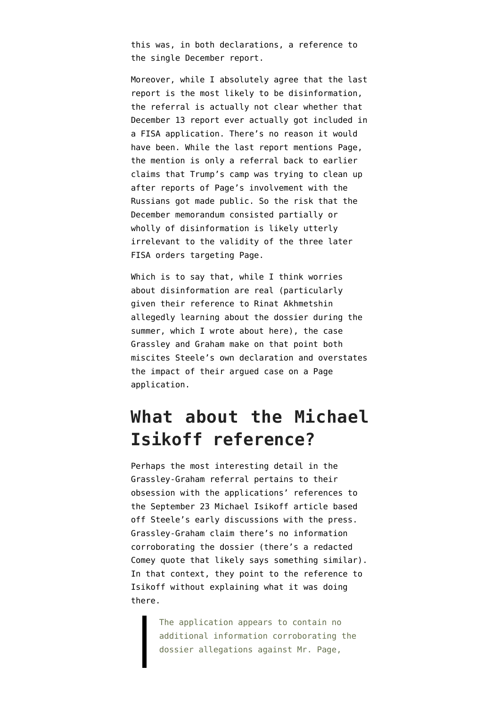this was, in both declarations, a reference to the single December report.

Moreover, while I absolutely agree that the last report is the most likely to be disinformation, the referral is actually not clear whether that December 13 report ever actually got included in a FISA application. There's no reason it would have been. While the [last report](https://www.documentcloud.org/documents/3259984-Trump-Intelligence-Allegations.html) mentions Page, the mention is only a referral back to earlier claims that Trump's camp was trying to clean up after reports of Page's involvement with the Russians got made public. So the risk that the December memorandum consisted partially or wholly of disinformation is likely utterly irrelevant to the validity of the three later FISA orders targeting Page.

Which is to say that, while I think worries about disinformation are real (particularly given their reference to Rinat Akhmetshin allegedly learning about the dossier during the summer, which [I wrote about here\)](https://www.emptywheel.net/2018/02/08/what-journalists-told-akhmetshin-about-the-steele-dossier/), the case Grassley and Graham make on that point both miscites Steele's own declaration and overstates the impact of their argued case on a Page application.

### **What about the Michael Isikoff reference?**

Perhaps the most interesting detail in the Grassley-Graham referral pertains to their obsession with the applications' references to the [September 23 Michael Isikoff article](https://www.yahoo.com/news/u-s-intel-officials-probe-ties-between-trump-adviser-and-kremlin-175046002.html) based off Steele's early discussions with the press. Grassley-Graham claim there's no information corroborating the dossier (there's a redacted Comey quote that likely says something similar). In that context, they point to the reference to Isikoff without explaining what it was doing there.

> The application appears to contain no additional information corroborating the dossier allegations against Mr. Page,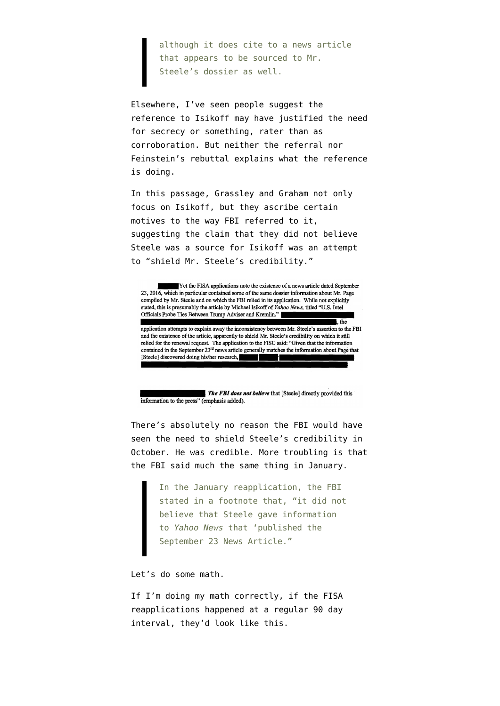although it does cite to a news article that appears to be sourced to Mr. Steele's dossier as well.

Elsewhere, I've seen people suggest the reference to Isikoff may have justified the need for secrecy or something, rater than as corroboration. But neither the referral nor Feinstein's rebuttal explains what the reference is doing.

In this passage, Grassley and Graham not only focus on Isikoff, but they ascribe certain motives to the way FBI referred to it, suggesting the claim that they did not believe Steele was a source for Isikoff was an attempt to "shield Mr. Steele's credibility."

Yet the FISA applications note the existence of a news article dated September 23, 2016, which in particular contained some of the same dossier information about Mr. Page compiled by Mr. Steele and on which the FBI relied in its application. While not explicitly stated, this is presumably the article by Michael Isikoff of Yahoo News, titled "U.S. Intel Officials Probe Ties Between Trump Adviser and Kremlin."

application attempts to explain away the inconsistency between Mr. Steele's assertion to the FBI and the existence of the article, apparently to shield Mr. Steele's credibility on which it still relied for the renewal request. The application to the FISC said: "Given that the information contained in the September 23rd news article generally matches the information about Page that [Steele] discovered doing his/her research, H

 $\overline{\phantom{a}}$  the

The FBI does not believe that [Steele] directly provided this information to the press" (emphasis added).

There's absolutely no reason the FBI would have seen the need to shield Steele's credibility in October. He was credible. More troubling is that the FBI said much the same thing in January.

> In the January reapplication, the FBI stated in a footnote that, "it did not believe that Steele gave information to *Yahoo News* that 'published the September 23 News Article."

Let's do some math.

If I'm doing my math correctly, if the FISA reapplications happened at a regular 90 day interval, they'd look like this.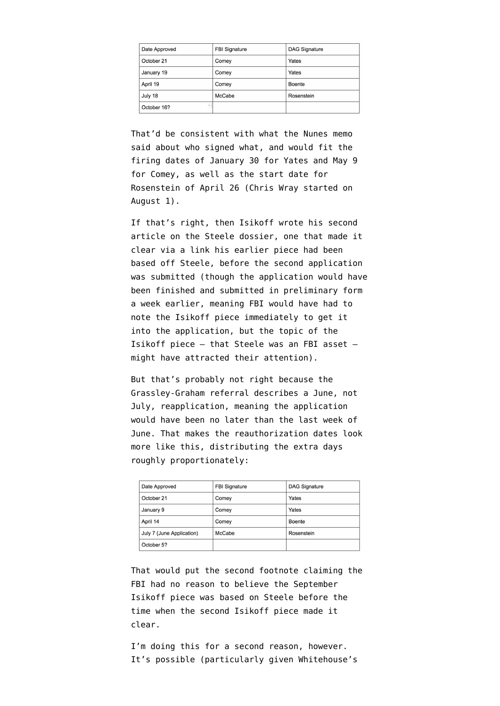| Date Approved                           | <b>FBI Signature</b> | DAG Signature |
|-----------------------------------------|----------------------|---------------|
| October 21                              | Comey                | Yates         |
| January 19                              | Comey                | Yates         |
| April 19                                | Comey                | Boente        |
| July 18                                 | McCabe               | Rosenstein    |
| $\overline{\phantom{a}}$<br>October 16? |                      |               |

That'd be consistent with what the Nunes memo said about who signed what, and would fit the firing dates of January 30 for Yates and May 9 for Comey, as well as the start date for Rosenstein of April 26 (Chris Wray started on August 1).

If that's right, then Isikoff wrote his [second](https://www.yahoo.com/news/the-man-behind-the-trump-dossier-was-former-british-spy-004221154.html) [article](https://www.yahoo.com/news/the-man-behind-the-trump-dossier-was-former-british-spy-004221154.html) on the Steele dossier, one that made it clear via a link his earlier piece had been based off Steele, before the second application was submitted (though the application would have been finished and submitted in preliminary form a week earlier, meaning FBI would have had to note the Isikoff piece immediately to get it into the application, but the topic of the Isikoff piece — that Steele was an FBI asset might have attracted their attention).

But that's probably not right because the Grassley-Graham referral describes a June, not July, reapplication, meaning the application would have been no later than the last week of June. That makes the reauthorization dates look more like this, distributing the extra days roughly proportionately:

| Date Approved             | <b>FBI Signature</b> | <b>DAG Signature</b> |
|---------------------------|----------------------|----------------------|
| October 21                | Comey                | Yates                |
| January 9                 | Comey                | Yates                |
| April 14                  | Comey                | Boente               |
| July 7 (June Application) | McCabe               | Rosenstein           |
| October 5?                |                      |                      |

That would put the second footnote claiming the FBI had no reason to believe the September Isikoff piece was based on Steele before the time when the second Isikoff piece made it clear.

I'm doing this for a second reason, however. It's possible (particularly given Whitehouse's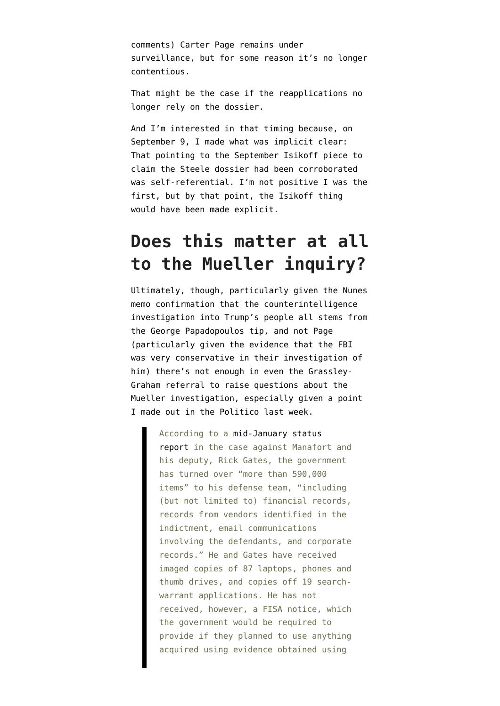comments) Carter Page remains under surveillance, but for some reason it's no longer contentious.

That might be the case if the reapplications no longer rely on the dossier.

And I'm interested in that timing because, on September 9, I [made what was implicit clear](https://www.emptywheel.net/2017/09/06/john-siphers-garbage-post-arguing-the-steele-dossier-isnt-garbage/): That pointing to the September Isikoff piece to claim the Steele dossier had been corroborated was self-referential. I'm not positive I was the first, but by that point, the Isikoff thing would have been made explicit.

### **Does this matter at all to the Mueller inquiry?**

Ultimately, though, particularly given the Nunes memo confirmation that the counterintelligence investigation into Trump's people all stems from the George Papadopoulos tip, and not Page (particularly given [the evidence that the FBI](https://www.emptywheel.net/2018/02/09/george-papadopoulos-call-records-were-not-subpoenaed-until-after-his-interviews/) [was very conservative in their investigation of](https://www.emptywheel.net/2018/02/09/george-papadopoulos-call-records-were-not-subpoenaed-until-after-his-interviews/) [him\)](https://www.emptywheel.net/2018/02/09/george-papadopoulos-call-records-were-not-subpoenaed-until-after-his-interviews/) there's not enough in even the Grassley-Graham referral to raise questions about the Mueller investigation, especially given a point [I made out in the Politico last week](https://www.politico.com/magazine/story/2018/02/01/russia-steele-dossier-democrats-republicans-216921).

> According to a [mid-January status](https://www.courtlistener.com/recap/gov.uscourts.dcd.190597/gov.uscourts.dcd.190597.146.0_1.pdf) [report](https://www.courtlistener.com/recap/gov.uscourts.dcd.190597/gov.uscourts.dcd.190597.146.0_1.pdf) in the case against Manafort and his deputy, Rick Gates, the government has turned over "more than 590,000 items" to his defense team, "including (but not limited to) financial records, records from vendors identified in the indictment, email communications involving the defendants, and corporate records." He and Gates have received imaged copies of 87 laptops, phones and thumb drives, and copies off 19 searchwarrant applications. He has not received, however, a FISA notice, which the government would be required to provide if they planned to use anything acquired using evidence obtained using